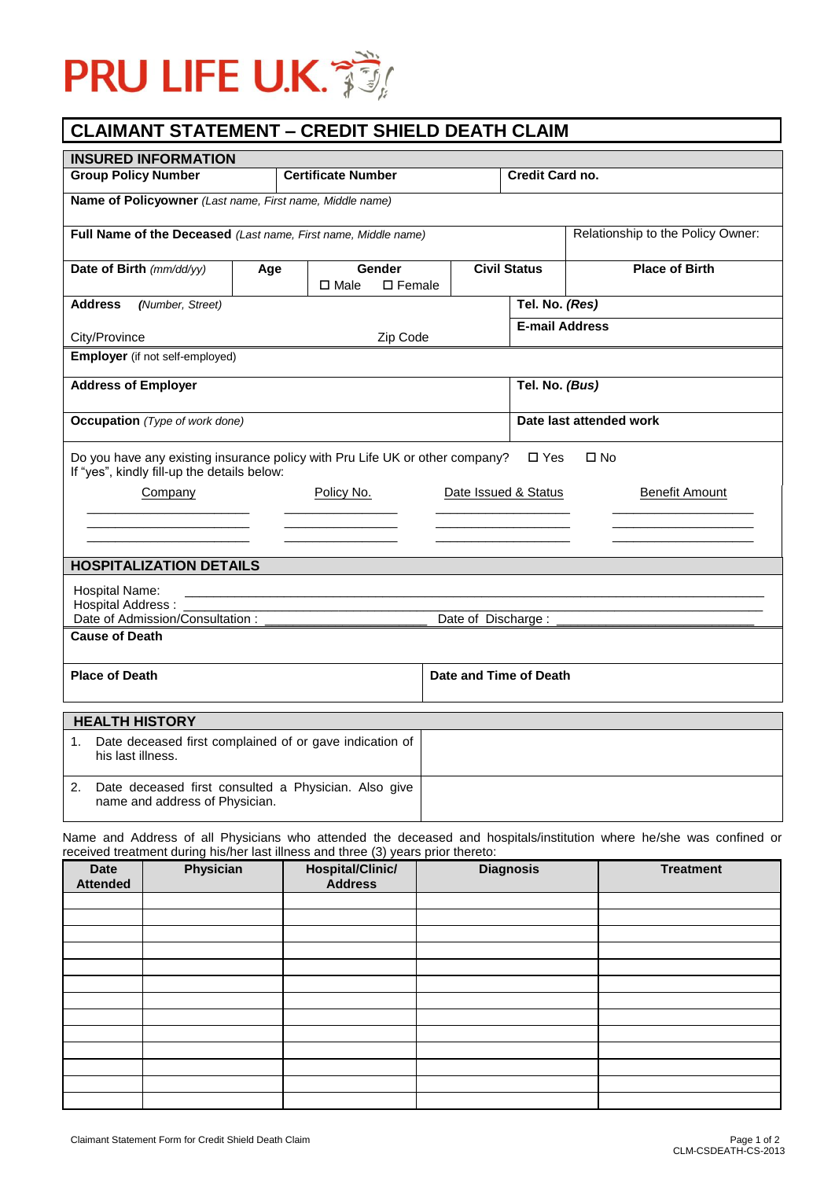

## **CLAIMANT STATEMENT – CREDIT SHIELD DEATH CLAIM**

| <b>INSURED INFORMATION</b>                                                                                                                                   |                                    |                                              |                         |                        |                       |  |
|--------------------------------------------------------------------------------------------------------------------------------------------------------------|------------------------------------|----------------------------------------------|-------------------------|------------------------|-----------------------|--|
| <b>Group Policy Number</b>                                                                                                                                   | <b>Certificate Number</b>          |                                              |                         | <b>Credit Card no.</b> |                       |  |
| Name of Policyowner (Last name, First name, Middle name)                                                                                                     |                                    |                                              |                         |                        |                       |  |
| Relationship to the Policy Owner:<br>Full Name of the Deceased (Last name, First name, Middle name)                                                          |                                    |                                              |                         |                        |                       |  |
| Date of Birth (mm/dd/yy)                                                                                                                                     | Age                                | Gender<br>$\square$ Female<br>$\square$ Male |                         | <b>Civil Status</b>    | <b>Place of Birth</b> |  |
| <b>Address</b><br>(Number, Street)                                                                                                                           |                                    |                                              |                         | Tel. No. (Res)         |                       |  |
| City/Province                                                                                                                                                |                                    | Zip Code                                     |                         | <b>E-mail Address</b>  |                       |  |
| <b>Employer</b> (if not self-employed)                                                                                                                       |                                    |                                              |                         |                        |                       |  |
| <b>Address of Employer</b>                                                                                                                                   |                                    |                                              |                         | Tel. No. (Bus)         |                       |  |
| <b>Occupation</b> (Type of work done)                                                                                                                        |                                    |                                              | Date last attended work |                        |                       |  |
| Do you have any existing insurance policy with Pru Life UK or other company?<br>$\square$ Yes<br>$\square$ No<br>If "yes", kindly fill-up the details below: |                                    |                                              |                         |                        |                       |  |
| Company                                                                                                                                                      | Date Issued & Status<br>Policy No. |                                              |                         | <b>Benefit Amount</b>  |                       |  |
|                                                                                                                                                              |                                    |                                              |                         |                        |                       |  |
|                                                                                                                                                              |                                    |                                              |                         |                        |                       |  |
| <b>HOSPITALIZATION DETAILS</b>                                                                                                                               |                                    |                                              |                         |                        |                       |  |
| Hospital Name:                                                                                                                                               |                                    |                                              |                         |                        |                       |  |
| <b>Hospital Address:</b><br>Date of Admission/Consultation:<br>Date of Discharge :                                                                           |                                    |                                              |                         |                        |                       |  |
| <b>Cause of Death</b>                                                                                                                                        |                                    |                                              |                         |                        |                       |  |
| <b>Place of Death</b>                                                                                                                                        |                                    |                                              | Date and Time of Death  |                        |                       |  |
| <b>HEALTH HISTORY</b>                                                                                                                                        |                                    |                                              |                         |                        |                       |  |
| Date deceased first complained of or gave indication of<br>1.<br>his last illness.                                                                           |                                    |                                              |                         |                        |                       |  |
| 2.<br>Date deceased first consulted a Physician. Also give<br>name and address of Physician.                                                                 |                                    |                                              |                         |                        |                       |  |

Name and Address of all Physicians who attended the deceased and hospitals/institution where he/she was confined or received treatment during his/her last illness and three (3) years prior thereto:

| <b>Date</b><br><b>Attended</b> | Physician | $\overline{\phantom{a}}$<br>Hospital/Clinic/<br>Address | <b>Diagnosis</b> | <b>Treatment</b> |
|--------------------------------|-----------|---------------------------------------------------------|------------------|------------------|
|                                |           |                                                         |                  |                  |
|                                |           |                                                         |                  |                  |
|                                |           |                                                         |                  |                  |
|                                |           |                                                         |                  |                  |
|                                |           |                                                         |                  |                  |
|                                |           |                                                         |                  |                  |
|                                |           |                                                         |                  |                  |
|                                |           |                                                         |                  |                  |
|                                |           |                                                         |                  |                  |
|                                |           |                                                         |                  |                  |
|                                |           |                                                         |                  |                  |
|                                |           |                                                         |                  |                  |
|                                |           |                                                         |                  |                  |